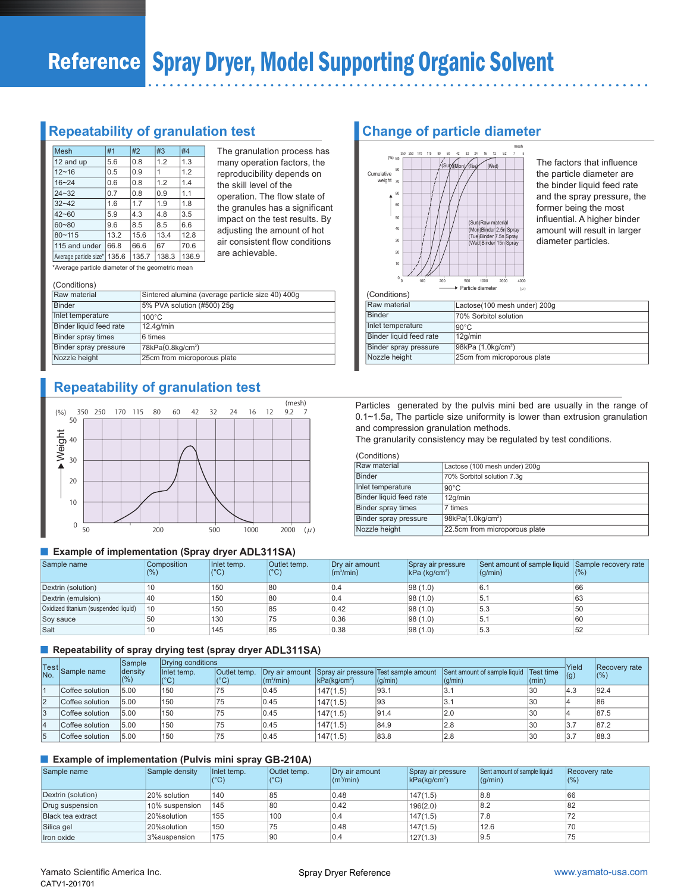# **Repeatability of granulation test <b>Change of particle diameter**

| Mesh                   | #1    | #2    | #3    | #4    |
|------------------------|-------|-------|-------|-------|
| 12 and up              | 5.6   | 0.8   | 1.2   | 1.3   |
| $12 - 16$              | 0.5   | 0.9   | 1     | 1.2   |
| $16 - 24$              | 0.6   | 0.8   | 1.2   | 1.4   |
| $24 - 32$              | 0.7   | 0.8   | 0.9   | 1.1   |
| $32 - 42$              | 1.6   | 1.7   | 1.9   | 1.8   |
| $42 - 60$              | 5.9   | 4.3   | 4.8   | 3.5   |
| $60 - 80$              | 9.6   | 8.5   | 8.5   | 6.6   |
| $80 - 115$             | 13.2  | 15.6  | 13.4  | 12.8  |
| 115 and under          | 66.8  | 66.6  | 67    | 70.6  |
| Average particle size* | 135.6 | 135.7 | 138.3 | 136.9 |

The granulation process has many operation factors, the reproducibility depends on the skill level of the operation. The flow state of the granules has a significant impact on the test results. By adjusting the amount of hot air consistent flow conditions are achievable.

\*Average particle diameter of the geometric mean

#### (Conditions)

|               | Raw material              | Sintered alumina (average particle size 40) 400g |
|---------------|---------------------------|--------------------------------------------------|
| <b>Binder</b> |                           | 5% PVA solution (#500) 25q                       |
|               | Inlet temperature         | $100^{\circ}$ C                                  |
|               | Binder liquid feed rate   | 12.4g/min                                        |
|               | <b>Binder spray times</b> | 6 times                                          |
|               | Binder spray pressure     | 78kPa(0.8kq/cm <sup>2</sup> )                    |
|               | Nozzle height             | 25cm from microporous plate                      |

## **Repeatability of granulation test**



#### **Example of implementation (Spray dryer ADL311SA)**



The factors that influence the particle diameter are the binder liquid feed rate and the spray pressure, the former being the most influential. A higher binder amount will result in larger diameter particles.

| Raw material            | Lactose(100 mesh under) 200q   |
|-------------------------|--------------------------------|
| <b>Binder</b>           | 70% Sorbitol solution          |
| Inlet temperature       | $90^{\circ}$ C                 |
| Binder liquid feed rate | 12a/min                        |
| Binder spray pressure   | 98kPa (1.0kg/cm <sup>2</sup> ) |
| Nozzle height           | 25cm from microporous plate    |

Particles generated by the pulvis mini bed are usually in the range of 0.1~1.5a, The particle size uniformity is lower than extrusion granulation and compression granulation methods.

The granularity consistency may be regulated by test conditions.

(Conditions)

| Raw material                 | Lactose (100 mesh under) 200g |
|------------------------------|-------------------------------|
| <b>Binder</b>                | 70% Sorbitol solution 7.3q    |
| Inlet temperature            | $90^{\circ}$ C                |
| Binder liquid feed rate      | 12q/min                       |
| Binder spray times           | 7 times                       |
| <b>Binder spray pressure</b> | 98kPa(1.0kg/cm <sup>2</sup> ) |
| Nozzle height                | 22.5cm from microporous plate |

| Sample name                          | <b>Composition</b><br>$(\%)$ | Inlet temp.<br>$(C^{\circ}C)$ | Outlet temp.<br>$(C^{\circ})$ | Dry air amount<br>$\rm (m^3/min)$ | Spray air pressure<br> kPa (kq/cm <sup>2</sup> ) | Sent amount of sample liquid Sample recovery rate<br>(q/min) | (% ) |
|--------------------------------------|------------------------------|-------------------------------|-------------------------------|-----------------------------------|--------------------------------------------------|--------------------------------------------------------------|------|
| Dextrin (solution)                   | 10                           | 150                           | 80                            | 10.4                              | 98(1.0)                                          | l6.                                                          | 66   |
| Dextrin (emulsion)                   | 140                          | 150                           | 80                            | 0.4                               | 98(1.0)                                          | 5.1                                                          | 63   |
| Oxidized titanium (suspended liquid) | 10                           | 150                           | 85                            | 0.42                              | 98(1.0)                                          | 15.3                                                         | 50   |
| Soy sauce                            | 50                           | 130                           | 75                            | 0.36                              | 98(1.0)                                          | 5.                                                           | 60   |
| Salt                                 | 10                           | 145                           | 85                            | 0.38                              | 98(1.0)                                          | 5.3                                                          | 52   |

#### **Repeatability of spray drying test (spray dryer ADL311SA)**

|                |                  | Sample         | Drying conditions           |                               |                 |                          |                                                                 |                                                   |                  |               | Recovery rate |
|----------------|------------------|----------------|-----------------------------|-------------------------------|-----------------|--------------------------|-----------------------------------------------------------------|---------------------------------------------------|------------------|---------------|---------------|
| No.            | Test Sample name | density<br>(%) | liniet temp.<br>$C^{\circ}$ | Outlet temp.<br>$(^{\circ}C)$ | $\rm (m^3/min)$ | kPa(kq/cm <sup>2</sup> ) | Dry air amount Spray air pressure Test sample amount<br>(g/min) | Sent amount of sample liquid Test time<br>(g/min) | $\mathsf{m}$ in) | Yield<br> (g) | (%)           |
|                | Coffee solution  | 5.00           | 150                         | 75                            | 0.45            | 147(1.5)                 | 93.1                                                            | 13.1                                              | 30               | 4.3           | 92.4          |
| $\overline{2}$ | Coffee solution  | 5.00           | 150                         | 75                            | 0.45            | 147(1.5)                 | 93                                                              | 13.1                                              | 30               |               | 86            |
| 3              | Coffee solution  | 5.00           | 150                         | 75                            | 0.45            | 147(1.5)                 | 91.4                                                            | 12.0                                              | 30               |               | 87.5          |
| 14             | Coffee solution  | 5.00           | 150                         | 75                            | 0.45            | 147(1.5)                 | 84.9                                                            | 2.8                                               | 30               |               | 87.2          |
| 5              | Coffee solution  | 5.00           | 150                         | 75                            | 0.45            | 147(1.5)                 | 83.8                                                            | 2.8                                               | 30               | $\cup$ .      | 88.3          |

#### **Example of implementation (Pulvis mini spray GB-210A)**

| Sample name        | Sample density | Inlet temp.<br>$(^{\circ}C)$ | Outlet temp.<br>$(^{\circ}C)$ | Dry air amount<br>$\left(\frac{m^3}{min}\right)$ | Spray air pressure<br> kPa(kq/cm <sup>2</sup> ) | Sent amount of sample liquid<br>$\vert$ (q/min) | Recovery rate<br>$(\% )$ |
|--------------------|----------------|------------------------------|-------------------------------|--------------------------------------------------|-------------------------------------------------|-------------------------------------------------|--------------------------|
| Dextrin (solution) | 20% solution   | 140                          | 85                            | 0.48                                             | 147(1.5)                                        | 8.8                                             | 66                       |
| Drug suspension    | 10% suspension | 145                          | 80                            | 0.42                                             | 196(2.0)                                        | 8.2                                             | 82                       |
| Black tea extract  | 20%solution    | 155                          | 100                           | 0.4                                              | 147(1.5)                                        | 7.8                                             | 72                       |
| Silica gel         | 20%solution    | 150                          | 75                            | 0.48                                             | 147(1.5)                                        | 12.6                                            | 70                       |
| Iron oxide         | 3%suspension   | 175                          | 90                            | 0.4                                              | 127(1.3)                                        | 9.5                                             | 75                       |